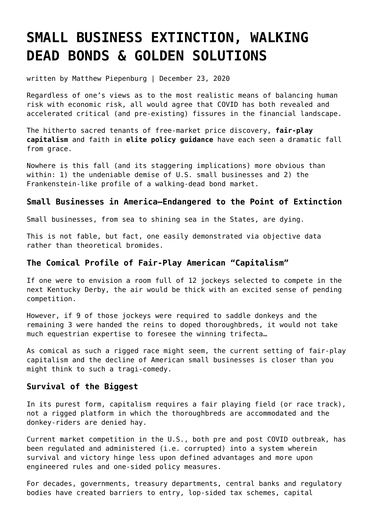# **[SMALL BUSINESS EXTINCTION, WALKING](https://goldswitzerland.com/small-business-extinction-walking-dead-bonds-golden-solutions/) [DEAD BONDS & GOLDEN SOLUTIONS](https://goldswitzerland.com/small-business-extinction-walking-dead-bonds-golden-solutions/)**

written by Matthew Piepenburg | December 23, 2020

Regardless of one's views as to the most realistic means of balancing human risk with economic risk, all would agree that COVID has both revealed and accelerated critical (and pre-existing) fissures in the financial landscape.

The hitherto sacred tenants of free-market price discovery, **[fair-play](https://goldswitzerland.com/dying-capitalism-the-new-feudalism/) [capitalism](https://goldswitzerland.com/dying-capitalism-the-new-feudalism/)** and faith in **[elite policy guidance](https://goldswitzerland.com/golden-advice-bet-against-the-experts/)** have each seen a dramatic fall from grace.

Nowhere is this fall (and its staggering implications) more obvious than within: 1) the undeniable demise of U.S. small businesses and 2) the Frankenstein-like profile of a walking-dead bond market.

### **Small Businesses in America—Endangered to the Point of Extinction**

Small businesses, from sea to shining sea in the States, are dying.

This is not fable, but fact, one easily demonstrated via objective data rather than theoretical bromides.

### **The Comical Profile of Fair-Play American "Capitalism"**

If one were to envision a room full of 12 jockeys selected to compete in the next Kentucky Derby, the air would be thick with an excited sense of pending competition.

However, if 9 of those jockeys were required to saddle donkeys and the remaining 3 were handed the reins to doped thoroughbreds, it would not take much equestrian expertise to foresee the winning trifecta…

As comical as such a rigged race might seem, the current setting of fair-play capitalism and the decline of American small businesses is closer than you might think to such a tragi-comedy.

#### **Survival of the Biggest**

In its purest form, capitalism requires a fair playing field (or race track), not a rigged platform in which the thoroughbreds are accommodated and the donkey-riders are denied hay.

Current market competition in the U.S., both pre and post COVID outbreak, has been regulated and administered (i.e. corrupted) into a system wherein survival and victory hinge less upon defined advantages and more upon engineered rules and one-sided policy measures.

For decades, governments, treasury departments, central banks and regulatory bodies have created barriers to entry, lop-sided tax schemes, capital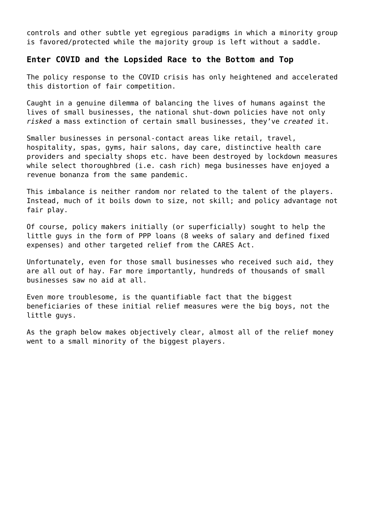controls and other subtle yet egregious paradigms in which a minority group is favored/protected while the majority group is left without a saddle.

## **Enter COVID and the Lopsided Race to the Bottom and Top**

The policy response to the COVID crisis has only heightened and accelerated this distortion of fair competition.

Caught in a genuine dilemma of balancing the lives of humans against the lives of small businesses, the national shut-down policies have not only *risked* a mass extinction of certain small businesses, they've *created* it.

Smaller businesses in personal-contact areas like retail, travel, hospitality, spas, gyms, hair salons, day care, distinctive health care providers and specialty shops etc. have been destroyed by lockdown measures while select thoroughbred (i.e. cash rich) mega businesses have enjoyed a revenue bonanza from the same pandemic.

This imbalance is neither random nor related to the talent of the players. Instead, much of it boils down to size, not skill; and policy advantage not fair play.

Of course, policy makers initially (or superficially) sought to help the little guys in the form of PPP loans (8 weeks of salary and defined fixed expenses) and other targeted relief from the CARES Act.

Unfortunately, even for those small businesses who received such aid, they are all out of hay. Far more importantly, hundreds of thousands of small businesses saw no aid at all.

Even more troublesome, is the quantifiable fact that the biggest beneficiaries of these initial relief measures were the big boys, not the little guys.

As the graph below makes objectively clear, almost all of the relief money went to a small minority of the biggest players.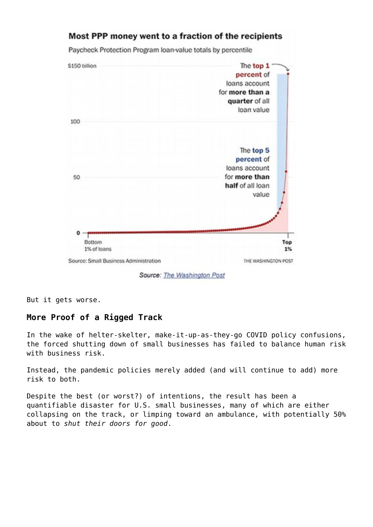

Most PPP money went to a fraction of the recipients

Source: The Washington Post

But it gets worse.

## **More Proof of a Rigged Track**

In the wake of helter-skelter, make-it-up-as-they-go COVID policy confusions, the forced shutting down of small businesses has failed to balance human risk with business risk.

Instead, the pandemic policies merely added (and will continue to add) more risk to both.

Despite the best (or worst?) of intentions, the result has been a quantifiable disaster for U.S. small businesses, many of which are either collapsing on the track, or limping toward an ambulance, with potentially 50% about to *shut their doors for good*.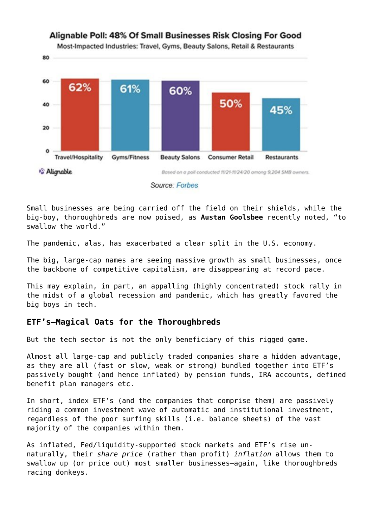

#### Source: Forbes

Small businesses are being carried off the field on their shields, while the big-boy, thoroughbreds are now poised, as **[Austan Goolsbee](https://www.nytimes.com/2020/09/30/business/big-companies-are-starting-to-swallow-the-world.html)** recently noted, "to swallow the world."

The pandemic, alas, has exacerbated a clear split in the U.S. economy.

The big, large-cap names are seeing massive growth as small businesses, once the backbone of competitive capitalism, are disappearing at record pace.

This may explain, in part, an appalling (highly concentrated) stock rally in the midst of a global recession and pandemic, which has greatly favored the big boys in tech.

### **ETF's—Magical Oats for the Thoroughbreds**

But the tech sector is not the only beneficiary of this rigged game.

Almost all large-cap and publicly traded companies share a hidden advantage, as they are all (fast or slow, weak or strong) bundled together into ETF's passively bought (and hence inflated) by pension funds, IRA accounts, defined benefit plan managers etc.

In short, index ETF's (and the companies that comprise them) are passively riding a common investment wave of automatic and institutional investment, regardless of the poor surfing skills (i.e. balance sheets) of the vast majority of the companies within them.

As inflated, Fed/liquidity-supported stock markets and ETF's rise unnaturally, their *share price* (rather than profit) *inflation* allows them to swallow up (or price out) most smaller businesses—again, like thoroughbreds racing donkeys.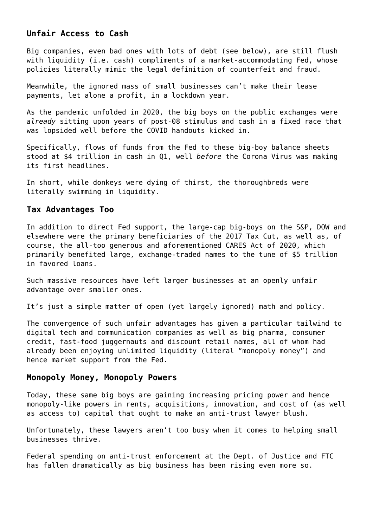## **Unfair Access to Cash**

Big companies, even bad ones with lots of debt (see below), are still flush with liquidity (i.e. cash) compliments of a market-accommodating Fed, whose policies literally mimic the legal definition of counterfeit and fraud.

Meanwhile, the ignored mass of small businesses can't make their lease payments, let alone a profit, in a lockdown year.

As the pandemic unfolded in 2020, the big boys on the public exchanges were *already* sitting upon years of post-08 stimulus and cash in a fixed race that was lopsided well before the COVID handouts kicked in.

Specifically, flows of funds from the Fed to these big-boy balance sheets stood at \$4 trillion in cash in Q1, well *before* the Corona Virus was making its first headlines.

In short, while donkeys were dying of thirst, the thoroughbreds were literally swimming in liquidity.

#### **Tax Advantages Too**

In addition to direct Fed support, the large-cap big-boys on the S&P, DOW and elsewhere were the primary beneficiaries of the 2017 Tax Cut, as well as, of course, the all-too generous and aforementioned CARES Act of 2020, which primarily benefited large, exchange-traded names to the tune of \$5 trillion in favored loans.

Such massive resources have left larger businesses at an openly unfair advantage over smaller ones.

It's just a simple matter of open (yet largely ignored) math and policy.

The convergence of such unfair advantages has given a particular tailwind to digital tech and communication companies as well as big pharma, consumer credit, fast-food juggernauts and discount retail names, all of whom had already been enjoying unlimited liquidity (literal "monopoly money") and hence market support from the Fed.

#### **Monopoly Money, Monopoly Powers**

Today, these same big boys are gaining increasing pricing power and hence monopoly-like powers in rents, acquisitions, innovation, and cost of (as well as access to) capital that ought to make an anti-trust lawyer blush.

Unfortunately, these lawyers aren't too busy when it comes to helping small businesses thrive.

Federal spending on anti-trust enforcement at the Dept. of Justice and FTC has fallen dramatically as big business has been rising even more so.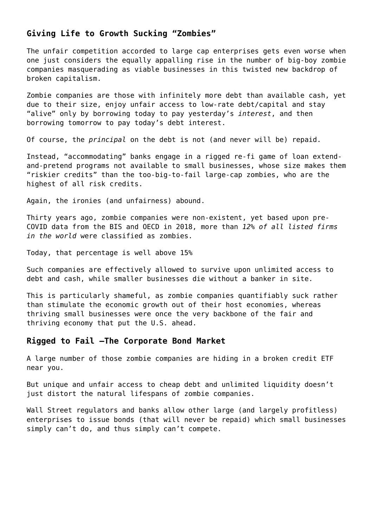## **Giving Life to Growth Sucking "Zombies"**

The unfair competition accorded to large cap enterprises gets even worse when one just considers the equally appalling rise in the number of big-boy zombie companies masquerading as viable businesses in this twisted new backdrop of broken capitalism.

Zombie companies are those with infinitely more debt than available cash, yet due to their size, enjoy unfair access to low-rate debt/capital and stay "alive" only by borrowing today to pay yesterday's *interest*, and then borrowing tomorrow to pay today's debt interest.

Of course, the *principal* on the debt is not (and never will be) repaid.

Instead, "accommodating" banks engage in a rigged re-fi game of loan extendand-pretend programs not available to small businesses, whose size makes them "riskier credits" than the too-big-to-fail large-cap zombies, who are the highest of all risk credits.

Again, the ironies (and unfairness) abound.

Thirty years ago, zombie companies were non-existent, yet based upon pre-COVID data from the BIS and OECD in 2018, more than *12% of all listed firms in the world* were classified as zombies.

Today, that percentage is well above 15%

Such companies are effectively allowed to survive upon unlimited access to debt and cash, while smaller businesses die without a banker in site.

This is particularly shameful, as zombie companies quantifiably suck rather than stimulate the economic growth out of their host economies, whereas thriving small businesses were once the very backbone of the fair and thriving economy that put the U.S. ahead.

#### **Rigged to Fail –The Corporate Bond Market**

A large number of those zombie companies are hiding in a broken credit ETF near you.

But unique and unfair access to cheap debt and unlimited liquidity doesn't just distort the natural lifespans of zombie companies.

Wall Street regulators and banks allow other large (and largely profitless) enterprises to issue bonds (that will never be repaid) which small businesses simply can't do, and thus simply can't compete.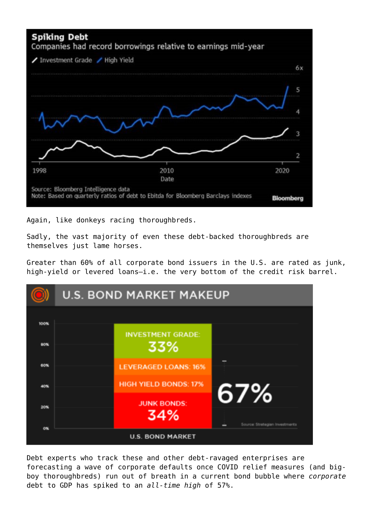

Again, like donkeys racing thoroughbreds.

Sadly, the vast majority of even these debt-backed thoroughbreds are themselves just lame horses.

Greater than 60% of all corporate bond issuers in the U.S. are rated as junk, high-yield or levered loans-i.e. the very bottom of the credit risk barrel.

|            | <b>U.S. BOND MARKET MAKEUP</b> |                                 |                                |
|------------|--------------------------------|---------------------------------|--------------------------------|
| 100%       |                                |                                 |                                |
| 80%        |                                | <b>INVESTMENT GRADE:</b><br>33% |                                |
| <b>60%</b> |                                | <b>LEVERAGED LOANS: 16%</b>     |                                |
| 40%        |                                | <b>HIGH YIELD BONDS: 17%</b>    | 67%                            |
| <b>20%</b> |                                | <b>JUNK BONDS:</b><br>34%       |                                |
| ON         |                                |                                 | Source: Strategian Investments |
|            |                                | <b>U.S. BOND MARKET</b>         |                                |

Debt experts who track these and other debt-ravaged enterprises are forecasting a wave of corporate defaults once COVID relief measures (and bigboy thoroughbreds) run out of breath in a current bond bubble where *corporate* debt to GDP has spiked to an *all-time high* of 57%.